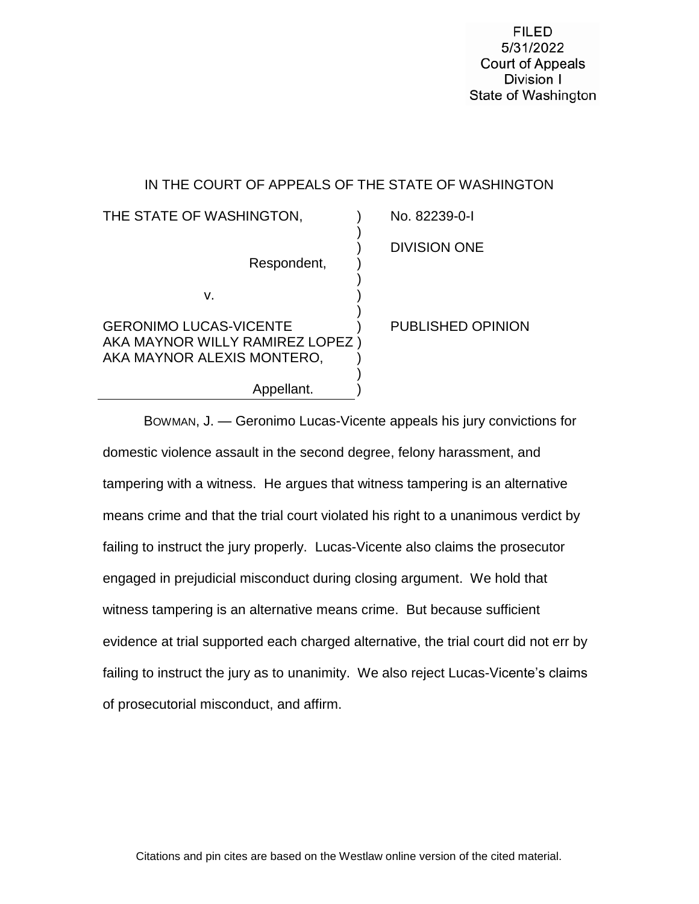**FILED** 5/31/2022 **Court of Appeals** Division I State of Washington

# IN THE COURT OF APPEALS OF THE STATE OF WASHINGTON

| THE STATE OF WASHINGTON,                                                                       | No. 82239-0-1            |
|------------------------------------------------------------------------------------------------|--------------------------|
| Respondent,                                                                                    | <b>DIVISION ONE</b>      |
| v.                                                                                             |                          |
| <b>GERONIMO LUCAS-VICENTE</b><br>AKA MAYNOR WILLY RAMIREZ LOPEZ)<br>AKA MAYNOR ALEXIS MONTERO, | <b>PUBLISHED OPINION</b> |
| Appellant.                                                                                     |                          |

BOWMAN, J. — Geronimo Lucas-Vicente appeals his jury convictions for domestic violence assault in the second degree, felony harassment, and tampering with a witness. He argues that witness tampering is an alternative means crime and that the trial court violated his right to a unanimous verdict by failing to instruct the jury properly. Lucas-Vicente also claims the prosecutor engaged in prejudicial misconduct during closing argument. We hold that witness tampering is an alternative means crime. But because sufficient evidence at trial supported each charged alternative, the trial court did not err by failing to instruct the jury as to unanimity. We also reject Lucas-Vicente's claims of prosecutorial misconduct, and affirm.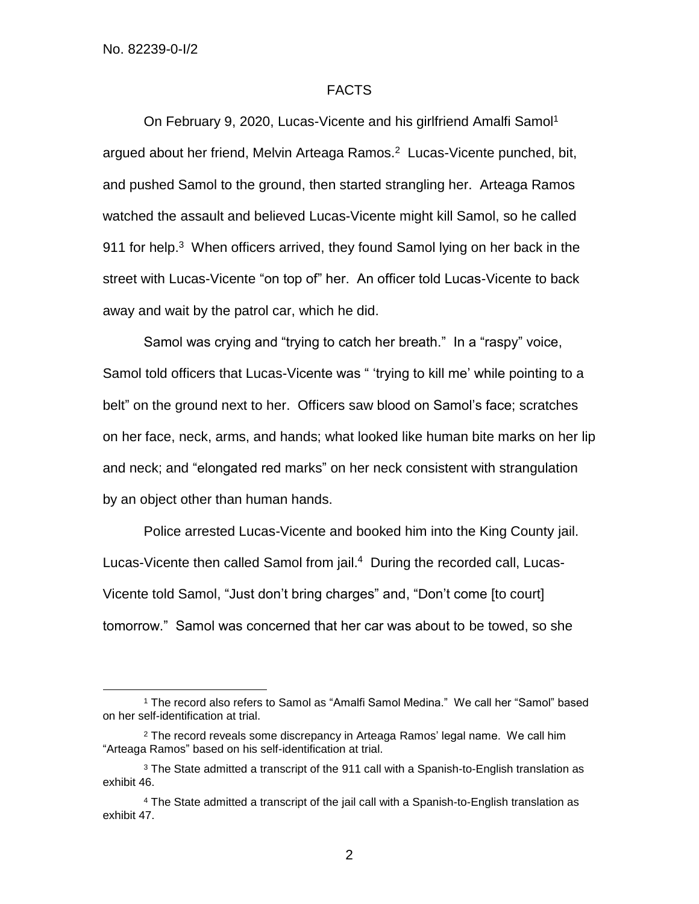$\overline{a}$ 

# FACTS

On February 9, 2020, Lucas-Vicente and his girlfriend Amalfi Samol<sup>1</sup> argued about her friend, Melvin Arteaga Ramos.<sup>2</sup> Lucas-Vicente punched, bit, and pushed Samol to the ground, then started strangling her. Arteaga Ramos watched the assault and believed Lucas-Vicente might kill Samol, so he called 911 for help.<sup>3</sup> When officers arrived, they found Samol lying on her back in the street with Lucas-Vicente "on top of" her. An officer told Lucas-Vicente to back away and wait by the patrol car, which he did.

Samol was crying and "trying to catch her breath." In a "raspy" voice, Samol told officers that Lucas-Vicente was " 'trying to kill me' while pointing to a belt" on the ground next to her. Officers saw blood on Samol's face; scratches on her face, neck, arms, and hands; what looked like human bite marks on her lip and neck; and "elongated red marks" on her neck consistent with strangulation by an object other than human hands.

Police arrested Lucas-Vicente and booked him into the King County jail. Lucas-Vicente then called Samol from jail. 4 During the recorded call, Lucas-Vicente told Samol, "Just don't bring charges" and, "Don't come [to court] tomorrow." Samol was concerned that her car was about to be towed, so she

<sup>1</sup> The record also refers to Samol as "Amalfi Samol Medina." We call her "Samol" based on her self-identification at trial.

 $2$  The record reveals some discrepancy in Arteaga Ramos' legal name. We call him "Arteaga Ramos" based on his self-identification at trial.

<sup>3</sup> The State admitted a transcript of the 911 call with a Spanish-to-English translation as exhibit 46.

<sup>4</sup> The State admitted a transcript of the jail call with a Spanish-to-English translation as exhibit 47.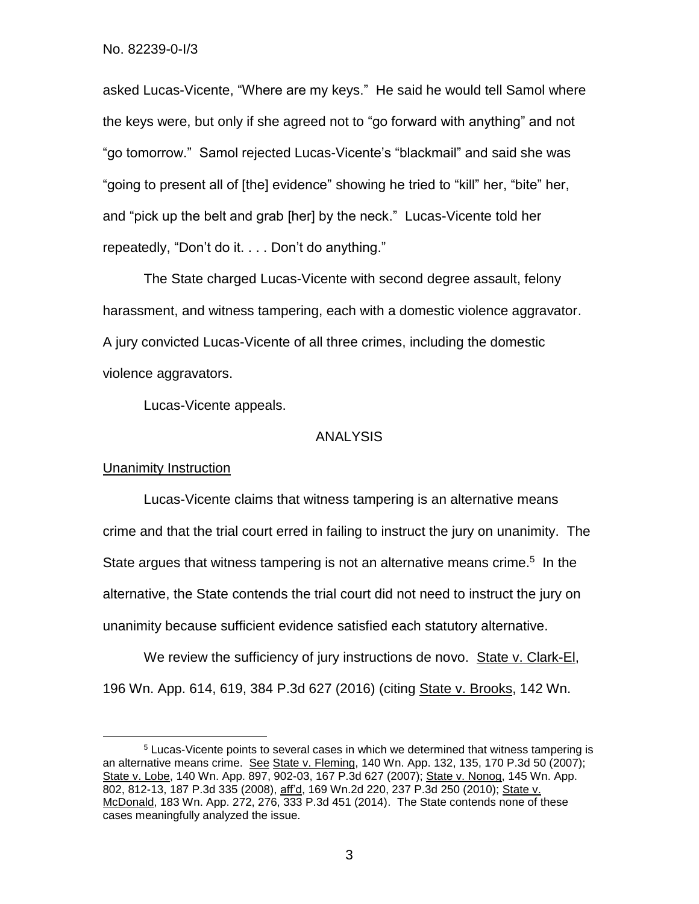asked Lucas-Vicente, "Where are my keys." He said he would tell Samol where the keys were, but only if she agreed not to "go forward with anything" and not "go tomorrow." Samol rejected Lucas-Vicente's "blackmail" and said she was "going to present all of [the] evidence" showing he tried to "kill" her, "bite" her, and "pick up the belt and grab [her] by the neck." Lucas-Vicente told her repeatedly, "Don't do it. . . . Don't do anything."

The State charged Lucas-Vicente with second degree assault, felony harassment, and witness tampering, each with a domestic violence aggravator. A jury convicted Lucas-Vicente of all three crimes, including the domestic violence aggravators.

Lucas-Vicente appeals.

### ANALYSIS

### Unanimity Instruction

 $\overline{a}$ 

Lucas-Vicente claims that witness tampering is an alternative means crime and that the trial court erred in failing to instruct the jury on unanimity. The State argues that witness tampering is not an alternative means crime.<sup>5</sup> In the alternative, the State contends the trial court did not need to instruct the jury on unanimity because sufficient evidence satisfied each statutory alternative.

We review the sufficiency of jury instructions de novo. State v. Clark-El, 196 Wn. App. 614, 619, 384 P.3d 627 (2016) (citing State v. Brooks, 142 Wn.

<sup>5</sup> Lucas-Vicente points to several cases in which we determined that witness tampering is an alternative means crime. See State v. Fleming, 140 Wn. App. 132, 135, 170 P.3d 50 (2007); State v. Lobe, 140 Wn. App. 897, 902-03, 167 P.3d 627 (2007); State v. Nonog, 145 Wn. App. 802, 812-13, 187 P.3d 335 (2008), aff'd, 169 Wn.2d 220, 237 P.3d 250 (2010); State v. McDonald, 183 Wn. App. 272, 276, 333 P.3d 451 (2014). The State contends none of these cases meaningfully analyzed the issue.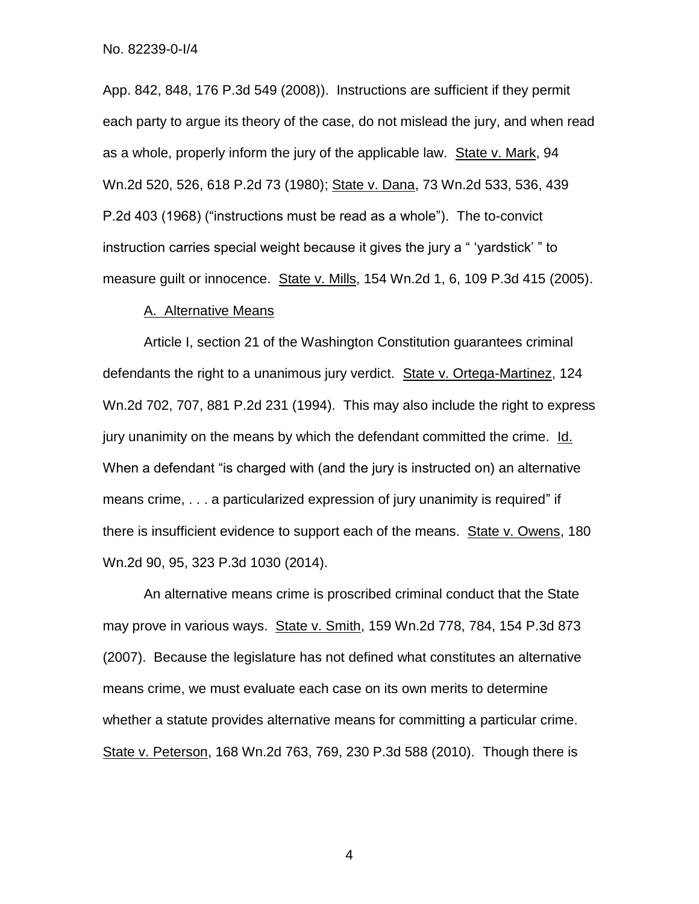App. 842, 848, 176 P.3d 549 (2008)). Instructions are sufficient if they permit each party to argue its theory of the case, do not mislead the jury, and when read as a whole, properly inform the jury of the applicable law. State v. Mark, 94 Wn.2d 520, 526, 618 P.2d 73 (1980); State v. Dana, 73 Wn.2d 533, 536, 439 P.2d 403 (1968) ("instructions must be read as a whole"). The to-convict instruction carries special weight because it gives the jury a " 'yardstick' " to measure guilt or innocence. State v. Mills, 154 Wn.2d 1, 6, 109 P.3d 415 (2005).

## A. Alternative Means

Article I, section 21 of the Washington Constitution guarantees criminal defendants the right to a unanimous jury verdict. State v. Ortega-Martinez, 124 Wn.2d 702, 707, 881 P.2d 231 (1994). This may also include the right to express jury unanimity on the means by which the defendant committed the crime. Id. When a defendant "is charged with (and the jury is instructed on) an alternative means crime, . . . a particularized expression of jury unanimity is required" if there is insufficient evidence to support each of the means. State v. Owens, 180 Wn.2d 90, 95, 323 P.3d 1030 (2014).

An alternative means crime is proscribed criminal conduct that the State may prove in various ways. State v. Smith, 159 Wn.2d 778, 784, 154 P.3d 873 (2007). Because the legislature has not defined what constitutes an alternative means crime, we must evaluate each case on its own merits to determine whether a statute provides alternative means for committing a particular crime. State v. Peterson, 168 Wn.2d 763, 769, 230 P.3d 588 (2010). Though there is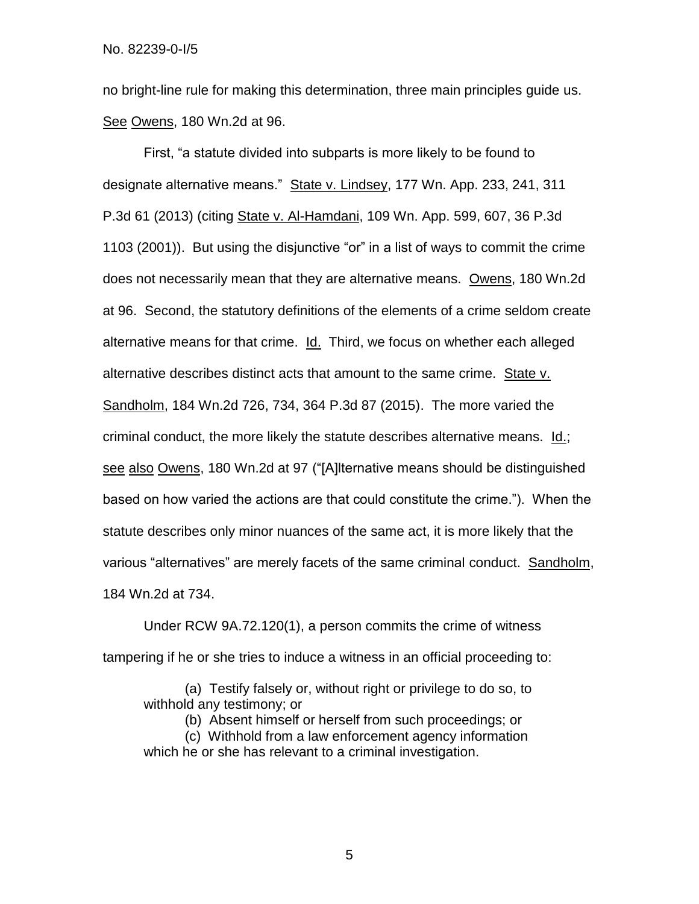no bright-line rule for making this determination, three main principles guide us. See Owens, 180 Wn.2d at 96.

First, "a statute divided into subparts is more likely to be found to designate alternative means." State v. Lindsey, 177 Wn. App. 233, 241, 311 P.3d 61 (2013) (citing State v. Al-Hamdani, 109 Wn. App. 599, 607, 36 P.3d 1103 (2001)). But using the disjunctive "or" in a list of ways to commit the crime does not necessarily mean that they are alternative means. Owens, 180 Wn.2d at 96. Second, the statutory definitions of the elements of a crime seldom create alternative means for that crime. Id. Third, we focus on whether each alleged alternative describes distinct acts that amount to the same crime. State v. Sandholm, 184 Wn.2d 726, 734, 364 P.3d 87 (2015). The more varied the criminal conduct, the more likely the statute describes alternative means. Id.; see also Owens, 180 Wn.2d at 97 ("[A]lternative means should be distinguished based on how varied the actions are that could constitute the crime."). When the statute describes only minor nuances of the same act, it is more likely that the various "alternatives" are merely facets of the same criminal conduct. Sandholm, 184 Wn.2d at 734.

Under RCW 9A.72.120(1), a person commits the crime of witness tampering if he or she tries to induce a witness in an official proceeding to:

(a) Testify falsely or, without right or privilege to do so, to withhold any testimony; or

(b) Absent himself or herself from such proceedings; or

(c) Withhold from a law enforcement agency information which he or she has relevant to a criminal investigation.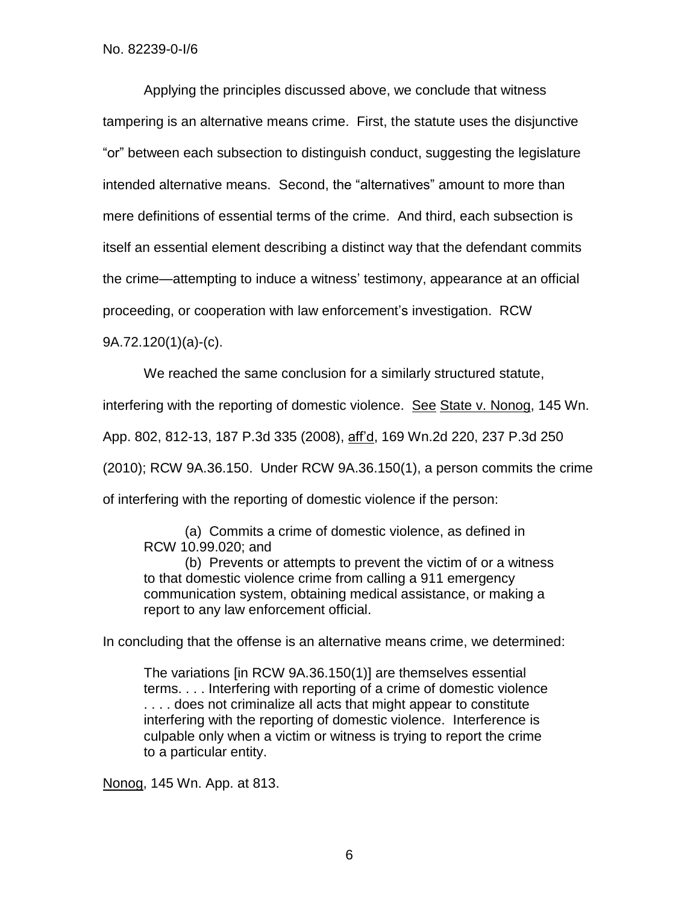Applying the principles discussed above, we conclude that witness tampering is an alternative means crime. First, the statute uses the disjunctive "or" between each subsection to distinguish conduct, suggesting the legislature intended alternative means. Second, the "alternatives" amount to more than mere definitions of essential terms of the crime. And third, each subsection is itself an essential element describing a distinct way that the defendant commits the crime—attempting to induce a witness' testimony, appearance at an official proceeding, or cooperation with law enforcement's investigation. RCW

9A.72.120(1)(a)-(c).

We reached the same conclusion for a similarly structured statute,

interfering with the reporting of domestic violence. See State v. Nonog, 145 Wn.

App. 802, 812-13, 187 P.3d 335 (2008), aff'd, 169 Wn.2d 220, 237 P.3d 250

(2010); RCW 9A.36.150. Under RCW 9A.36.150(1), a person commits the crime

of interfering with the reporting of domestic violence if the person:

(a) Commits a crime of domestic violence, as defined in RCW 10.99.020; and

(b) Prevents or attempts to prevent the victim of or a witness to that domestic violence crime from calling a 911 emergency communication system, obtaining medical assistance, or making a report to any law enforcement official.

In concluding that the offense is an alternative means crime, we determined:

The variations [in RCW 9A.36.150(1)] are themselves essential terms. . . . Interfering with reporting of a crime of domestic violence . . . . does not criminalize all acts that might appear to constitute interfering with the reporting of domestic violence. Interference is culpable only when a victim or witness is trying to report the crime to a particular entity.

Nonog, 145 Wn. App. at 813.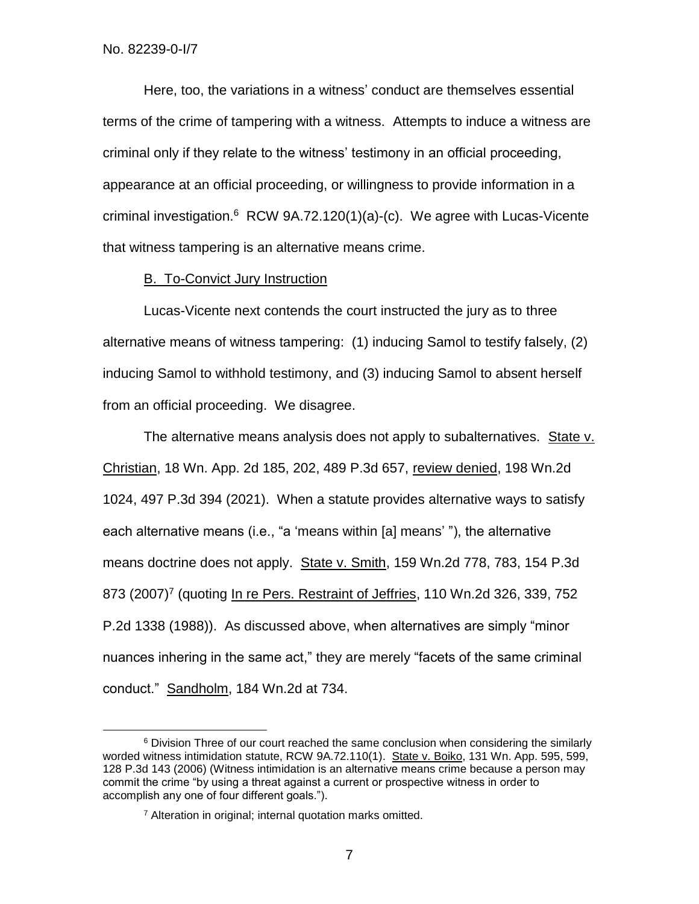$\overline{a}$ 

Here, too, the variations in a witness' conduct are themselves essential terms of the crime of tampering with a witness. Attempts to induce a witness are criminal only if they relate to the witness' testimony in an official proceeding, appearance at an official proceeding, or willingness to provide information in a criminal investigation.<sup>6</sup> RCW 9A.72.120(1)(a)-(c). We agree with Lucas-Vicente that witness tampering is an alternative means crime.

# B. To-Convict Jury Instruction

Lucas-Vicente next contends the court instructed the jury as to three alternative means of witness tampering: (1) inducing Samol to testify falsely, (2) inducing Samol to withhold testimony, and (3) inducing Samol to absent herself from an official proceeding. We disagree.

The alternative means analysis does not apply to subalternatives. State v. Christian, 18 Wn. App. 2d 185, 202, 489 P.3d 657, review denied, 198 Wn.2d 1024, 497 P.3d 394 (2021). When a statute provides alternative ways to satisfy each alternative means (i.e., "a 'means within [a] means' "), the alternative means doctrine does not apply. State v. Smith, 159 Wn.2d 778, 783, 154 P.3d 873 (2007)<sup>7</sup> (quoting In re Pers. Restraint of Jeffries, 110 Wn.2d 326, 339, 752 P.2d 1338 (1988)). As discussed above, when alternatives are simply "minor nuances inhering in the same act," they are merely "facets of the same criminal conduct." Sandholm, 184 Wn.2d at 734.

<sup>&</sup>lt;sup>6</sup> Division Three of our court reached the same conclusion when considering the similarly worded witness intimidation statute, RCW 9A.72.110(1). State v. Boiko, 131 Wn. App. 595, 599, 128 P.3d 143 (2006) (Witness intimidation is an alternative means crime because a person may commit the crime "by using a threat against a current or prospective witness in order to accomplish any one of four different goals.").

<sup>7</sup> Alteration in original; internal quotation marks omitted.

<sup>7</sup>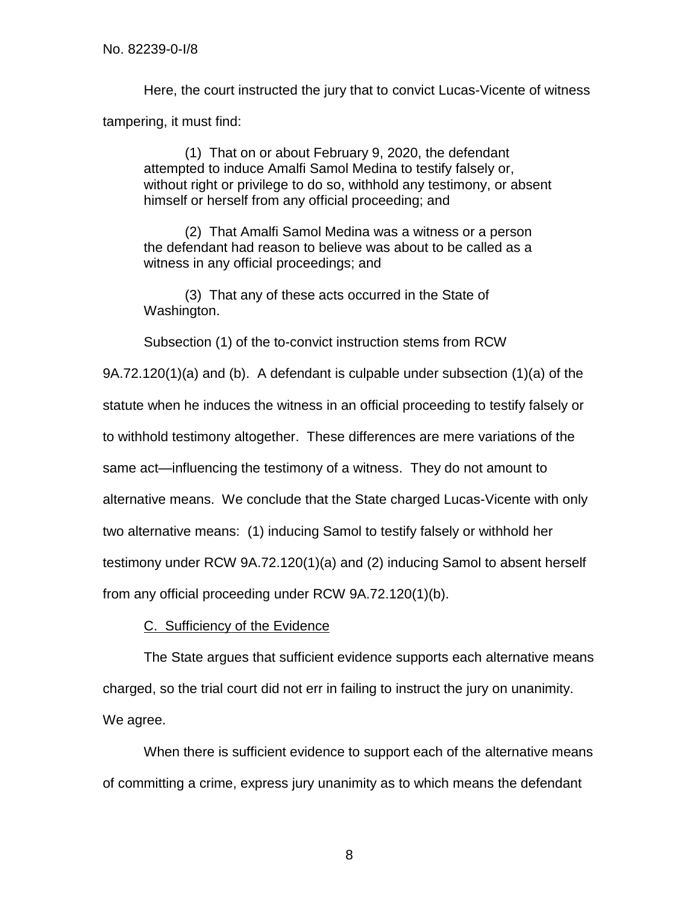Here, the court instructed the jury that to convict Lucas-Vicente of witness tampering, it must find:

(1) That on or about February 9, 2020, the defendant attempted to induce Amalfi Samol Medina to testify falsely or, without right or privilege to do so, withhold any testimony, or absent himself or herself from any official proceeding; and

(2) That Amalfi Samol Medina was a witness or a person the defendant had reason to believe was about to be called as a witness in any official proceedings; and

(3) That any of these acts occurred in the State of Washington.

Subsection (1) of the to-convict instruction stems from RCW

9A.72.120(1)(a) and (b). A defendant is culpable under subsection (1)(a) of the statute when he induces the witness in an official proceeding to testify falsely or to withhold testimony altogether. These differences are mere variations of the same act—influencing the testimony of a witness. They do not amount to alternative means. We conclude that the State charged Lucas-Vicente with only two alternative means: (1) inducing Samol to testify falsely or withhold her testimony under RCW 9A.72.120(1)(a) and (2) inducing Samol to absent herself from any official proceeding under RCW 9A.72.120(1)(b).

# C. Sufficiency of the Evidence

The State argues that sufficient evidence supports each alternative means charged, so the trial court did not err in failing to instruct the jury on unanimity. We agree.

When there is sufficient evidence to support each of the alternative means of committing a crime, express jury unanimity as to which means the defendant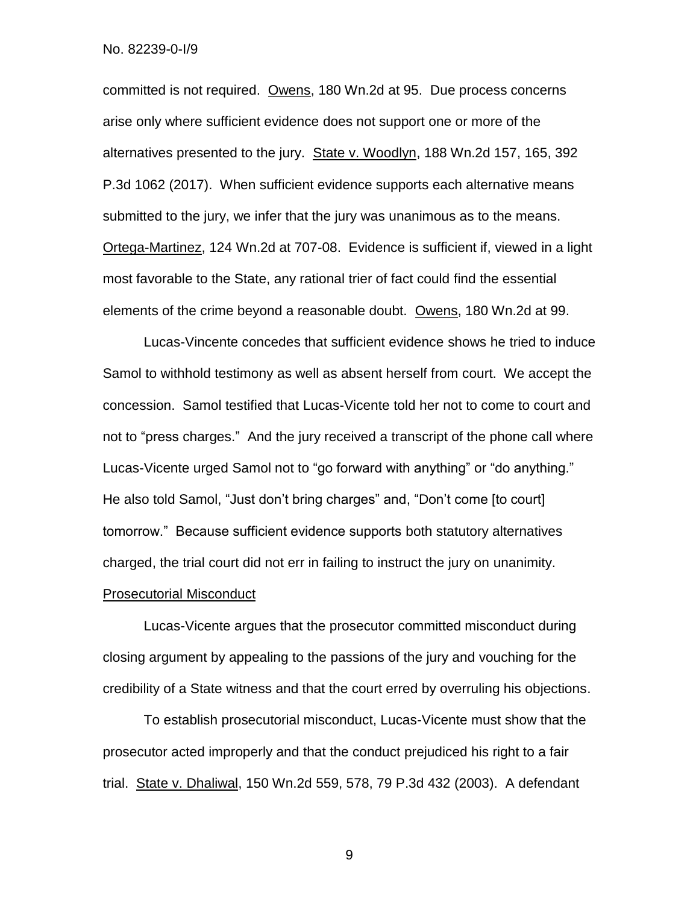committed is not required. Owens, 180 Wn.2d at 95. Due process concerns arise only where sufficient evidence does not support one or more of the alternatives presented to the jury. State v. Woodlyn, 188 Wn.2d 157, 165, 392 P.3d 1062 (2017). When sufficient evidence supports each alternative means submitted to the jury, we infer that the jury was unanimous as to the means. Ortega-Martinez, 124 Wn.2d at 707-08. Evidence is sufficient if, viewed in a light most favorable to the State, any rational trier of fact could find the essential elements of the crime beyond a reasonable doubt. Owens, 180 Wn.2d at 99.

Lucas-Vincente concedes that sufficient evidence shows he tried to induce Samol to withhold testimony as well as absent herself from court. We accept the concession. Samol testified that Lucas-Vicente told her not to come to court and not to "press charges." And the jury received a transcript of the phone call where Lucas-Vicente urged Samol not to "go forward with anything" or "do anything." He also told Samol, "Just don't bring charges" and, "Don't come [to court] tomorrow." Because sufficient evidence supports both statutory alternatives charged, the trial court did not err in failing to instruct the jury on unanimity.

#### Prosecutorial Misconduct

Lucas-Vicente argues that the prosecutor committed misconduct during closing argument by appealing to the passions of the jury and vouching for the credibility of a State witness and that the court erred by overruling his objections.

To establish prosecutorial misconduct, Lucas-Vicente must show that the prosecutor acted improperly and that the conduct prejudiced his right to a fair trial. State v. Dhaliwal, 150 Wn.2d 559, 578, 79 P.3d 432 (2003). A defendant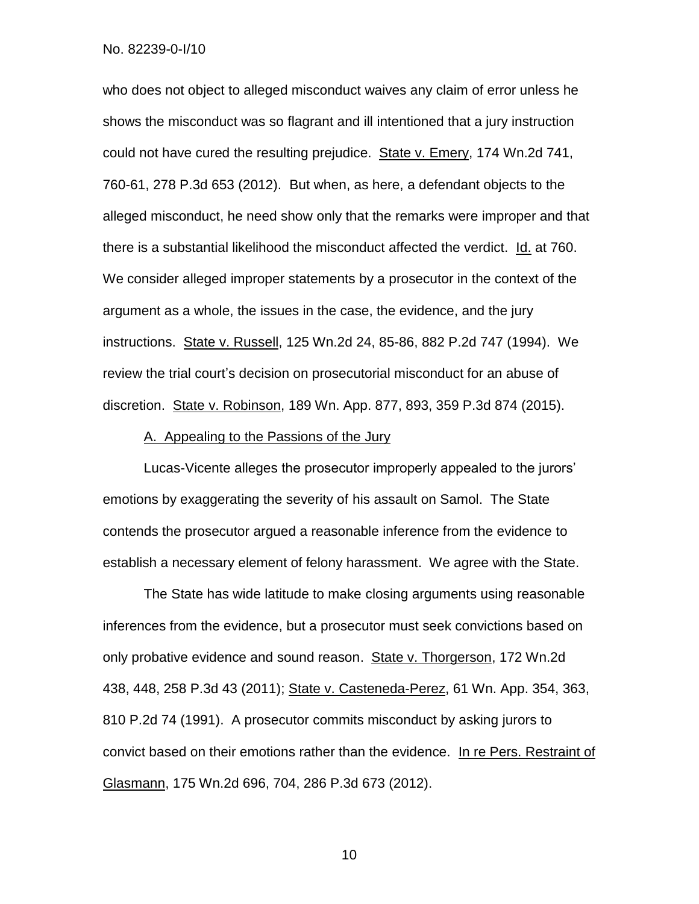who does not object to alleged misconduct waives any claim of error unless he shows the misconduct was so flagrant and ill intentioned that a jury instruction could not have cured the resulting prejudice. State v. Emery, 174 Wn.2d 741, 760-61, 278 P.3d 653 (2012). But when, as here, a defendant objects to the alleged misconduct, he need show only that the remarks were improper and that there is a substantial likelihood the misconduct affected the verdict. Id. at 760. We consider alleged improper statements by a prosecutor in the context of the argument as a whole, the issues in the case, the evidence, and the jury instructions. State v. Russell, 125 Wn.2d 24, 85-86, 882 P.2d 747 (1994). We review the trial court's decision on prosecutorial misconduct for an abuse of discretion. State v. Robinson, 189 Wn. App. 877, 893, 359 P.3d 874 (2015).

### A. Appealing to the Passions of the Jury

Lucas-Vicente alleges the prosecutor improperly appealed to the jurors' emotions by exaggerating the severity of his assault on Samol. The State contends the prosecutor argued a reasonable inference from the evidence to establish a necessary element of felony harassment. We agree with the State.

The State has wide latitude to make closing arguments using reasonable inferences from the evidence, but a prosecutor must seek convictions based on only probative evidence and sound reason. State v. Thorgerson, 172 Wn.2d 438, 448, 258 P.3d 43 (2011); State v. Casteneda-Perez, 61 Wn. App. 354, 363, 810 P.2d 74 (1991). A prosecutor commits misconduct by asking jurors to convict based on their emotions rather than the evidence. In re Pers. Restraint of Glasmann, 175 Wn.2d 696, 704, 286 P.3d 673 (2012).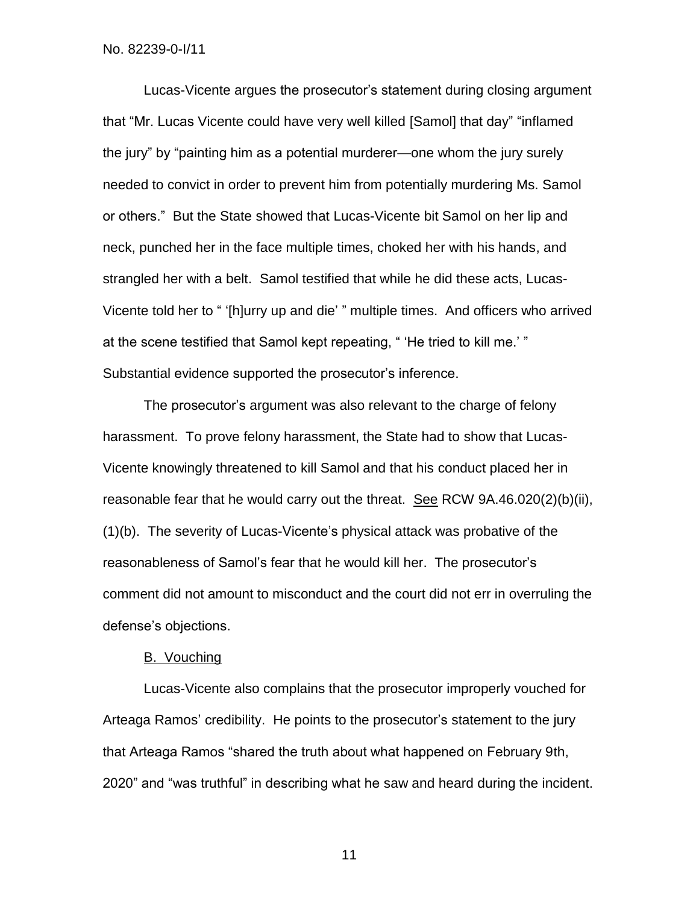Lucas-Vicente argues the prosecutor's statement during closing argument that "Mr. Lucas Vicente could have very well killed [Samol] that day" "inflamed the jury" by "painting him as a potential murderer—one whom the jury surely needed to convict in order to prevent him from potentially murdering Ms. Samol or others." But the State showed that Lucas-Vicente bit Samol on her lip and neck, punched her in the face multiple times, choked her with his hands, and strangled her with a belt. Samol testified that while he did these acts, Lucas-Vicente told her to " '[h]urry up and die' " multiple times. And officers who arrived at the scene testified that Samol kept repeating, " 'He tried to kill me.' " Substantial evidence supported the prosecutor's inference.

The prosecutor's argument was also relevant to the charge of felony harassment. To prove felony harassment, the State had to show that Lucas-Vicente knowingly threatened to kill Samol and that his conduct placed her in reasonable fear that he would carry out the threat. See RCW 9A.46.020(2)(b)(ii), (1)(b). The severity of Lucas-Vicente's physical attack was probative of the reasonableness of Samol's fear that he would kill her. The prosecutor's comment did not amount to misconduct and the court did not err in overruling the defense's objections.

# B. Vouching

Lucas-Vicente also complains that the prosecutor improperly vouched for Arteaga Ramos' credibility. He points to the prosecutor's statement to the jury that Arteaga Ramos "shared the truth about what happened on February 9th, 2020" and "was truthful" in describing what he saw and heard during the incident.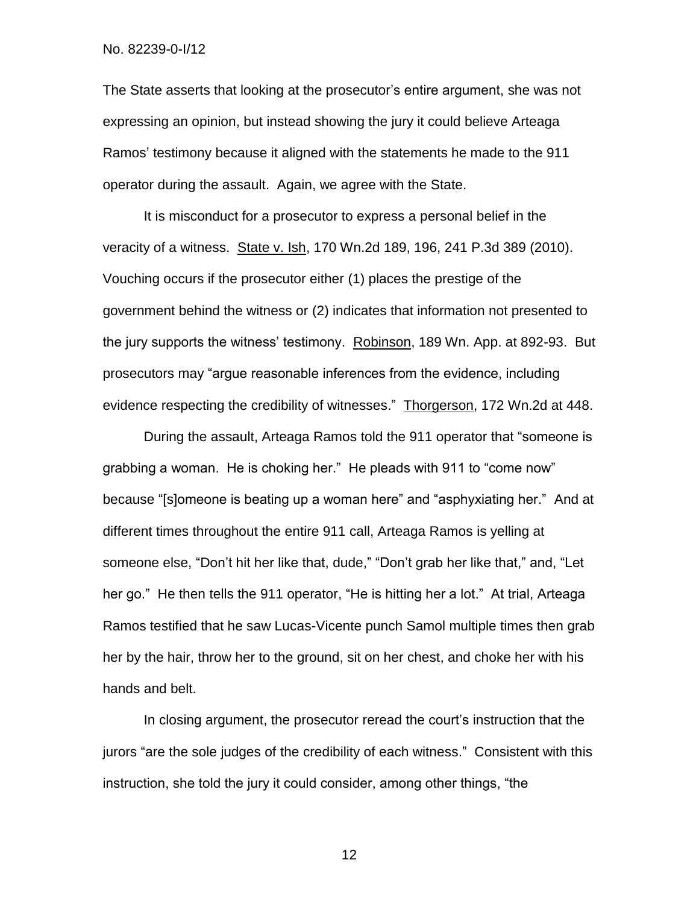The State asserts that looking at the prosecutor's entire argument, she was not expressing an opinion, but instead showing the jury it could believe Arteaga Ramos' testimony because it aligned with the statements he made to the 911 operator during the assault. Again, we agree with the State.

It is misconduct for a prosecutor to express a personal belief in the veracity of a witness. State v. Ish, 170 Wn.2d 189, 196, 241 P.3d 389 (2010). Vouching occurs if the prosecutor either (1) places the prestige of the government behind the witness or (2) indicates that information not presented to the jury supports the witness' testimony. Robinson, 189 Wn. App. at 892-93. But prosecutors may "argue reasonable inferences from the evidence, including evidence respecting the credibility of witnesses." Thorgerson, 172 Wn.2d at 448.

During the assault, Arteaga Ramos told the 911 operator that "someone is grabbing a woman. He is choking her." He pleads with 911 to "come now" because "[s]omeone is beating up a woman here" and "asphyxiating her." And at different times throughout the entire 911 call, Arteaga Ramos is yelling at someone else, "Don't hit her like that, dude," "Don't grab her like that," and, "Let her go." He then tells the 911 operator, "He is hitting her a lot." At trial, Arteaga Ramos testified that he saw Lucas-Vicente punch Samol multiple times then grab her by the hair, throw her to the ground, sit on her chest, and choke her with his hands and belt.

In closing argument, the prosecutor reread the court's instruction that the jurors "are the sole judges of the credibility of each witness." Consistent with this instruction, she told the jury it could consider, among other things, "the